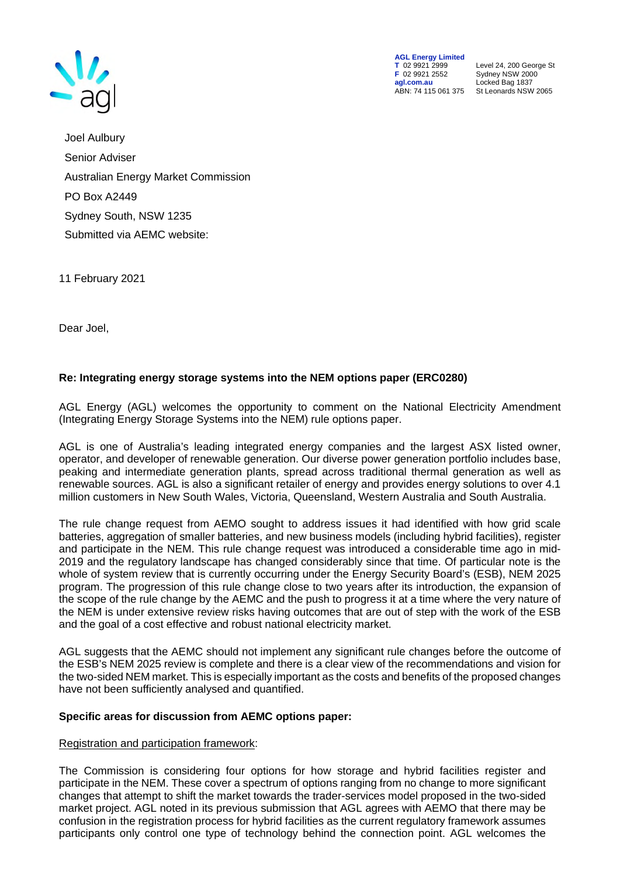

**AGL Energy Limited**<br> **T** 02 9921 2999<br> **F** 02 9921 2552 **F** 02 9921 2552 Sydney NSW 2000 **agl.com.au** Locked Bag 1837<br>ABN: 74 115 061 375 St Leonards NSW

**T** 02 9921 2999 Level 24, 200 George St St Leonards NSW 2065

Joel Aulbury Senior Adviser Australian Energy Market Commission PO Box A2449 Sydney South, NSW 1235 Submitted via AEMC website:

11 February 2021

Dear Joel,

# **Re: Integrating energy storage systems into the NEM options paper (ERC0280)**

AGL Energy (AGL) welcomes the opportunity to comment on the National Electricity Amendment (Integrating Energy Storage Systems into the NEM) rule options paper.

AGL is one of Australia's leading integrated energy companies and the largest ASX listed owner, operator, and developer of renewable generation. Our diverse power generation portfolio includes base, peaking and intermediate generation plants, spread across traditional thermal generation as well as renewable sources. AGL is also a significant retailer of energy and provides energy solutions to over 4.1 million customers in New South Wales, Victoria, Queensland, Western Australia and South Australia.

The rule change request from AEMO sought to address issues it had identified with how grid scale batteries, aggregation of smaller batteries, and new business models (including hybrid facilities), register and participate in the NEM. This rule change request was introduced a considerable time ago in mid-2019 and the regulatory landscape has changed considerably since that time. Of particular note is the whole of system review that is currently occurring under the Energy Security Board's (ESB), NEM 2025 program. The progression of this rule change close to two years after its introduction, the expansion of the scope of the rule change by the AEMC and the push to progress it at a time where the very nature of the NEM is under extensive review risks having outcomes that are out of step with the work of the ESB and the goal of a cost effective and robust national electricity market.

AGL suggests that the AEMC should not implement any significant rule changes before the outcome of the ESB's NEM 2025 review is complete and there is a clear view of the recommendations and vision for the two-sided NEM market. This is especially important as the costs and benefits of the proposed changes have not been sufficiently analysed and quantified.

## **Specific areas for discussion from AEMC options paper:**

## Registration and participation framework:

The Commission is considering four options for how storage and hybrid facilities register and participate in the NEM. These cover a spectrum of options ranging from no change to more significant changes that attempt to shift the market towards the trader-services model proposed in the two-sided market project. AGL noted in its previous submission that AGL agrees with AEMO that there may be confusion in the registration process for hybrid facilities as the current regulatory framework assumes participants only control one type of technology behind the connection point. AGL welcomes the